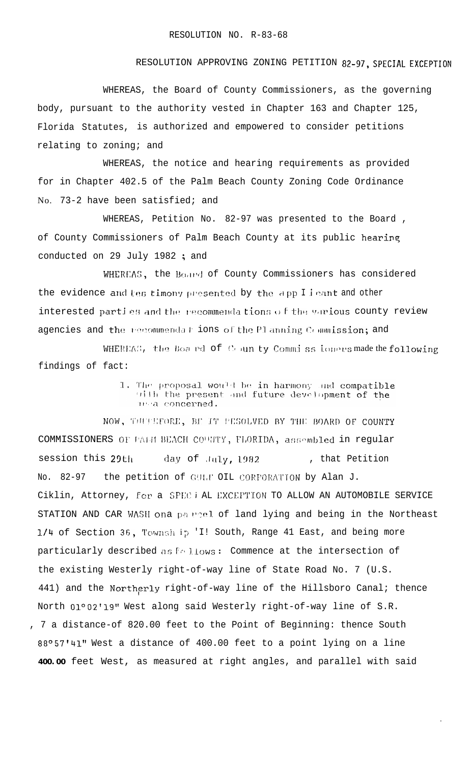## RESOLUTION APPROVING ZONING PETITION 82-97, SPECIAL EXCEPTION

WHEREAS, the Board of County Commissioners, as the governing body, pursuant to the authority vested in Chapter 163 and Chapter 125, Florida Statutes, is authorized and empowered to consider petitions relating to zoning; and

WHEREAS, the notice and hearing requirements as provided for in Chapter 402.5 of the Palm Beach County Zoning Code Ordinance No. 73-2 have been satisfied; and

WHEREAS, Petition No. 82-97 was presented to the Board, of County Commissioners of Palm Beach County at its public hearing conducted on 29 July 1982; and

WHEREAS, the Board of County Commissioners has considered the evidence and tes timony presented by the app I leant and other interested parties and the recommendations of the various county review agencies and the recommendal ions of the Planning Commission; and

WHEREAS, the Boa ed of County Commissioners made the following findings of fact:

> 1. The proposal would be in harmony and compatible with the present and future development of the  $10/4$  concerned.

NOW, THUELFORE, BE IT PESOLVED BY THE BOARD OF COUNTY COMMISSIONERS OF PALII BEACH COUNTY, FLORIDA, assembled in regular session this 29th day of July, 1982 , that Petition the petition of GULF OIL CORPORATION by Alan J. No. 82-97 Ciklin, Attorney, for a SPEC i AL EXCEPTION TO ALLOW AN AUTOMOBILE SERVICE STATION AND CAR WASH ona parriel of land lying and being in the Northeast 1/4 of Section 36, Townsh ip 'I! South, Range 41 East, and being more particularly described as follows: Commence at the intersection of the existing Westerly right-of-way line of State Road No. 7 (U.S. 441) and the Northerly right-of-way line of the Hillsboro Canal; thence North 01°02'19" West along said Westerly right-of-way line of S.R. , 7 a distance-of 820.00 feet to the Point of Beginning: thence South 88°57'41" West a distance of 400.00 feet to a point lying on a line 400.00 feet West, as measured at right angles, and parallel with said